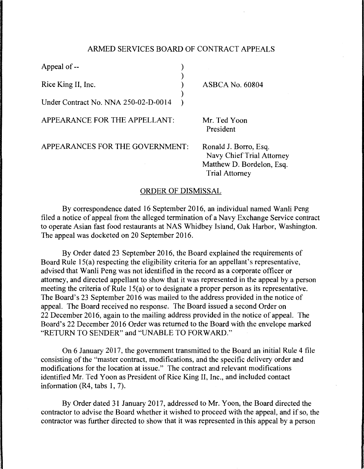## ARMED SERVICES BOARD OF CONTRACT APPEALS

)

)

Appeal of --

Rice King II, Inc. )

Under Contract No. NNA 250-02-D-OO 14 )

APPEARANCE FOR THE APPELLANT:

Mr. Ted Yoon President

 $ASBCA$  No. 60804

APPEARANCES FOR THE GOVERNMENT:

Ronald J. Borro, Esq. Navy Chief Trial Attorney Matthew D. Bordelon, Esq. Trial Attorney

## ORDER OF DISMISSAL

By correspondence dated 16 September 2016, an individual named Wanli Peng filed a notice of appeal from the alleged termination of a Navy Exchange Service contract to operate Asian fast food restaurants at NAS Whidbey Island, Oak Harbor, Washington. The appeal was docketed on 20 September 2016.

By Order dated 23 September 2016, the Board explained the requirements of Board Rule 15(a) respecting the eligibility criteria for an appellant's representative, advised that Wanli Peng was not identified in the record as a corporate officer or attorney, and directed appellant to show that it was represented in the appeal by a person meeting the criteria of Rule 15(a) or to designate a proper person as its representative. The Board's 23 September 2016 was mailed to the address provided in the notice of appeal. The Board received no response. The Board issued a second Order on 22 December 2016, again to the mailing address provided in the notice of appeal. The Board's 22 December 2016 Order was returned to the Board with the envelope marked "RETURN TO SENDER" and "UNABLE TO FORWARD."

On 6 January 2017, the government transmitted to the Board an initial Rule 4 file consisting of the "master contract, modifications, and the specific delivery order and modifications for the location at issue." The contract and relevant modifications identified Mr. Ted Yoon as President of Rice King II, Inc., and included contact information (R4, tabs 1, 7).

By Order dated 31 January 2017, addressed to Mr. Yoon, the Board directed the contractor to advise the Board whether it wished to proceed with the appeal, and if so, the contractor was further directed to show that it was represented in this appeal by a person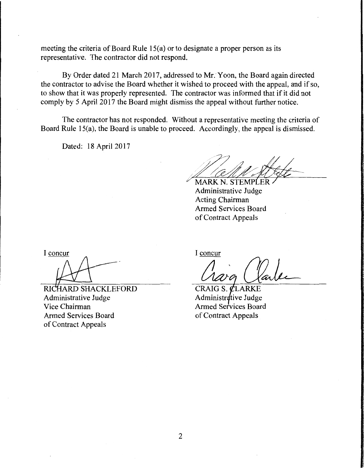meeting the criteria of Board Rule 15(a) or to designate a proper person as its representative. The contractor did not respond.

By Order dated 21 March 2017, addressed to Mr. Yoon, the Board again directed the contractor to advise the Board whether it wished to proceed with the appeal, and if so, to show that it was properly represented. The contractor was informed that if it did not comply by 5 April 2017 the Board might dismiss the appeal without further notice.

The contractor has not responded. Without a representative meeting the criteria of Board Rule 15(a), the Board is unable to proceed. Accordingly, the appeal is dismissed.

Dated: 18 April 2017

MARK N. STEMPLER Administrative Judge Acting Chairman Armed Services Board of Contract Appeals

I concur

RICHARD SHACKLEFORD Administrative Judge Vice Chairman Armed Services Board of Contract Appeals

I concur

 $CRAIG S. \nCLARKE$ Administrative Judge Armed Services Board of Contract Appeals